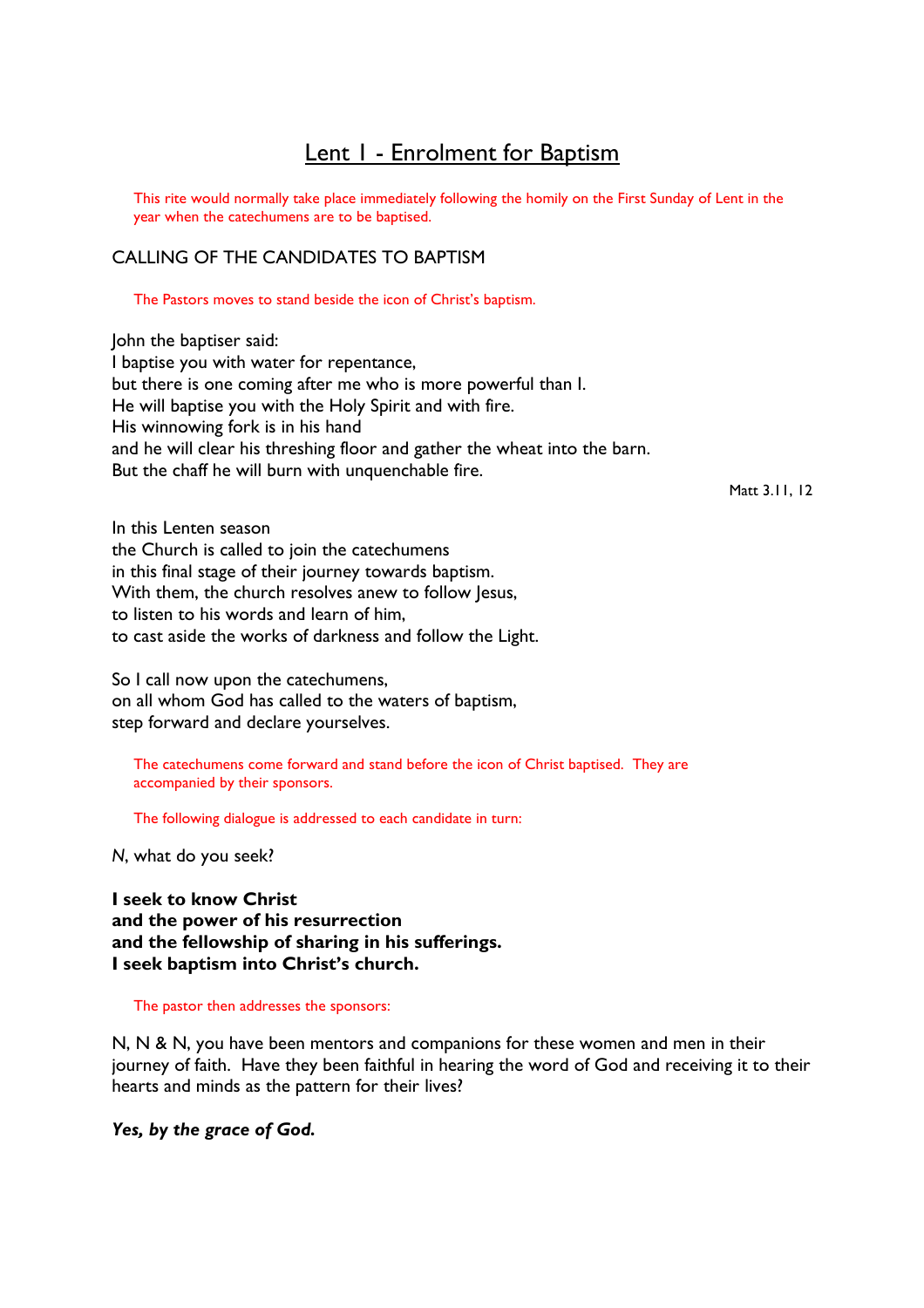# Lent 1 - Enrolment for Baptism

This rite would normally take place immediately following the homily on the First Sunday of Lent in the year when the catechumens are to be baptised.

# CALLING OF THE CANDIDATES TO BAPTISM

The Pastors moves to stand beside the icon of Christ's baptism.

John the baptiser said: I baptise you with water for repentance, but there is one coming after me who is more powerful than I. He will baptise you with the Holy Spirit and with fire. His winnowing fork is in his hand and he will clear his threshing floor and gather the wheat into the barn. But the chaff he will burn with unquenchable fire.

Matt 3.11, 12

In this Lenten season the Church is called to join the catechumens in this final stage of their journey towards baptism. With them, the church resolves anew to follow lesus, to listen to his words and learn of him, to cast aside the works of darkness and follow the Light.

So I call now upon the catechumens, on all whom God has called to the waters of baptism, step forward and declare yourselves.

 The catechumens come forward and stand before the icon of Christ baptised. They are accompanied by their sponsors.

The following dialogue is addressed to each candidate in turn:

N, what do you seek?

I seek to know Christ and the power of his resurrection and the fellowship of sharing in his sufferings. I seek baptism into Christ's church.

The pastor then addresses the sponsors:

N, N & N, you have been mentors and companions for these women and men in their journey of faith. Have they been faithful in hearing the word of God and receiving it to their hearts and minds as the pattern for their lives?

Yes, by the grace of God.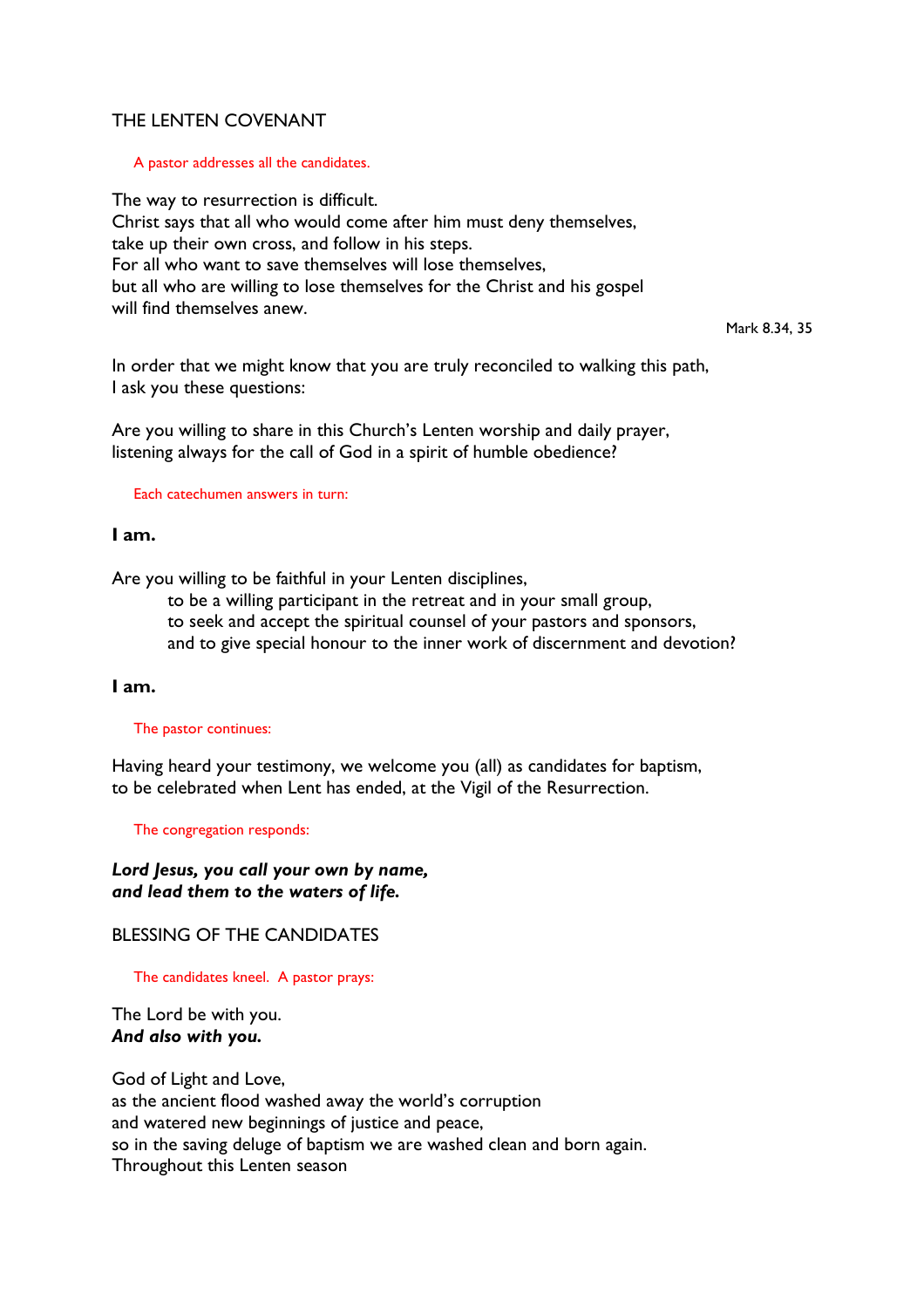# THE LENTEN COVENANT

## A pastor addresses all the candidates.

The way to resurrection is difficult. Christ says that all who would come after him must deny themselves, take up their own cross, and follow in his steps. For all who want to save themselves will lose themselves, but all who are willing to lose themselves for the Christ and his gospel will find themselves anew.

Mark 8.34, 35

In order that we might know that you are truly reconciled to walking this path, I ask you these questions:

Are you willing to share in this Church's Lenten worship and daily prayer, listening always for the call of God in a spirit of humble obedience?

## Each catechumen answers in turn:

## I am.

Are you willing to be faithful in your Lenten disciplines,

 to be a willing participant in the retreat and in your small group, to seek and accept the spiritual counsel of your pastors and sponsors, and to give special honour to the inner work of discernment and devotion?

## I am.

#### The pastor continues:

Having heard your testimony, we welcome you (all) as candidates for baptism, to be celebrated when Lent has ended, at the Vigil of the Resurrection.

#### The congregation responds:

Lord Jesus, you call your own by name, and lead them to the waters of life.

# BLESSING OF THE CANDIDATES

## The candidates kneel. A pastor prays:

The Lord be with you. And also with you.

God of Light and Love, as the ancient flood washed away the world's corruption and watered new beginnings of justice and peace, so in the saving deluge of baptism we are washed clean and born again. Throughout this Lenten season